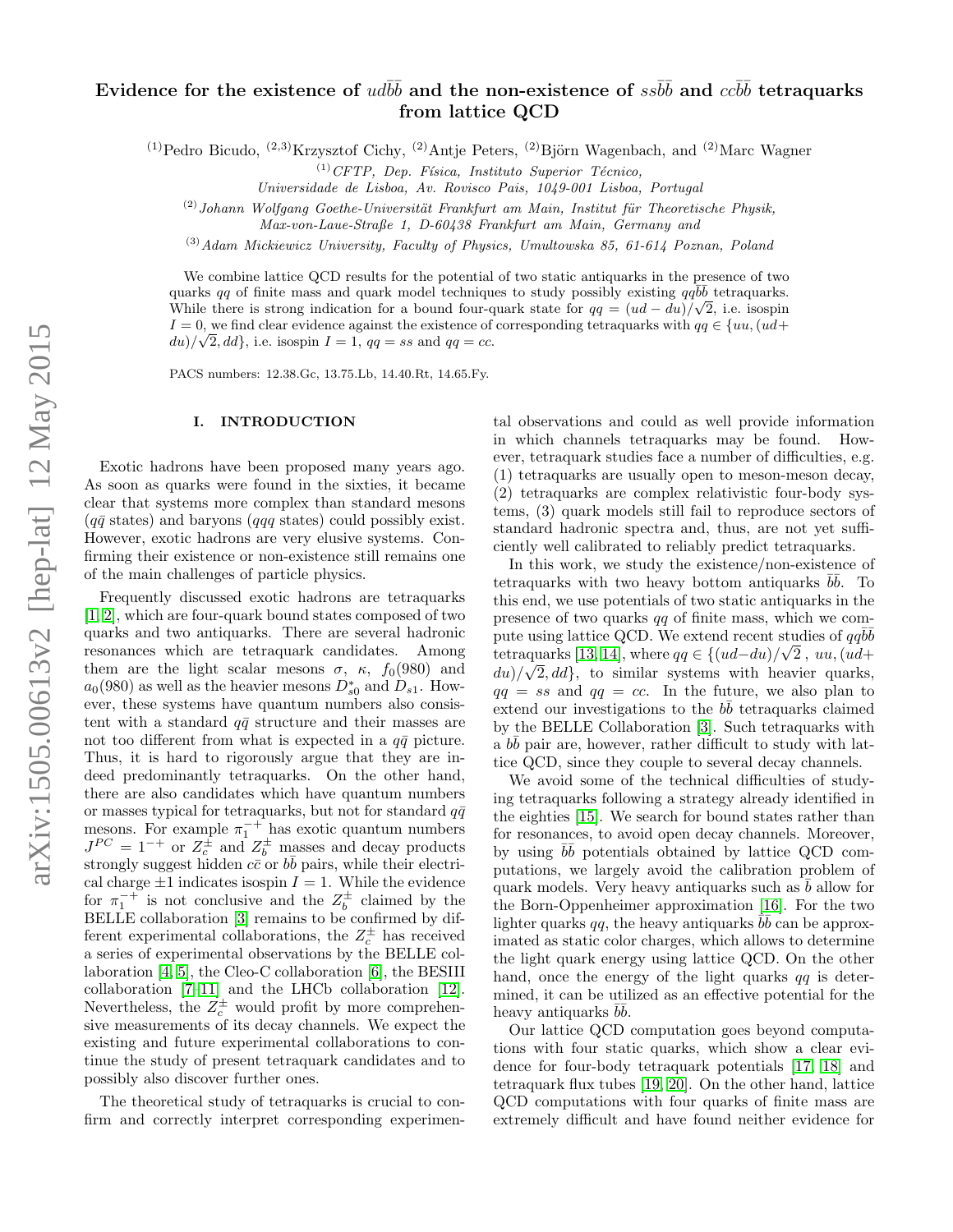# Evidence for the existence of  $ud\bar b\bar b$  and the non-existence of  $ss\bar b\bar b$  and  $cc\bar b\bar b$  tetraquarks from lattice QCD

 $(1)$ Pedro Bicudo,  $(2,3)$ Krzysztof Cichy,  $(2)$ Antje Peters,  $(2)$ Björn Wagenbach, and  $(2)$ Marc Wagner

 $^{(1)}$ CFTP, Dep. Física, Instituto Superior Técnico,

Universidade de Lisboa, Av. Rovisco Pais, 1049-001 Lisboa, Portugal

 $(2)$ Johann Wolfgang Goethe-Universität Frankfurt am Main, Institut für Theoretische Physik,

 $(3)$ Adam Mickiewicz University, Faculty of Physics, Umultowska 85, 61-614 Poznan, Poland

We combine lattice QCD results for the potential of two static antiquarks in the presence of two quarks qq of finite mass and quark model techniques to study possibly existing  $q\bar{q}b\bar{b}$  tetraquarks. While there is strong indication for a bound four-quark state for  $qq = (ud - du)/\sqrt{2}$ , i.e. isospin  $I = 0$ , we find clear evidence against the existence of corresponding tetraquarks with  $qq \in \{uu, (ud+w)\}\$  $du)/\sqrt{2}$ , dd, i.e. isospin  $I=1$ ,  $qq=ss$  and  $qq=cc$ .

PACS numbers: 12.38.Gc, 13.75.Lb, 14.40.Rt, 14.65.Fy.

#### I. INTRODUCTION

Exotic hadrons have been proposed many years ago. As soon as quarks were found in the sixties, it became clear that systems more complex than standard mesons  $(q\bar{q}$  states) and baryons (qqq states) could possibly exist. However, exotic hadrons are very elusive systems. Confirming their existence or non-existence still remains one of the main challenges of particle physics.

Frequently discussed exotic hadrons are tetraquarks [\[1,](#page-10-0) [2\]](#page-10-1), which are four-quark bound states composed of two quarks and two antiquarks. There are several hadronic resonances which are tetraquark candidates. Among them are the light scalar mesons  $\sigma$ ,  $\kappa$ ,  $f_0(980)$  and  $a_0(980)$  as well as the heavier mesons  $D_{s0}^*$  and  $D_{s1}$ . However, these systems have quantum numbers also consistent with a standard  $q\bar{q}$  structure and their masses are not too different from what is expected in a  $q\bar{q}$  picture. Thus, it is hard to rigorously argue that they are indeed predominantly tetraquarks. On the other hand, there are also candidates which have quantum numbers or masses typical for tetraquarks, but not for standard  $q\bar{q}$ mesons. For example  $\pi_1^{-+}$  has exotic quantum numbers  $J^{PC} = 1^{-+}$  or  $Z_c^{\pm}$  and  $Z_b^{\pm}$  masses and decay products strongly suggest hidden  $c\bar{c}$  or  $b\bar{b}$  pairs, while their electrical charge  $\pm 1$  indicates isospin  $I = 1$ . While the evidence for  $\pi_1^{-+}$  is not conclusive and the  $Z_b^{\pm}$  claimed by the BELLE collaboration [\[3\]](#page-10-2) remains to be confirmed by different experimental collaborations, the  $Z_c^{\pm}$  has received a series of experimental observations by the BELLE collaboration [\[4,](#page-10-3) [5\]](#page-10-4), the Cleo-C collaboration [\[6\]](#page-10-5), the BESIII collaboration [\[7–](#page-10-6)[11\]](#page-10-7) and the LHCb collaboration [\[12\]](#page-10-8). Nevertheless, the  $Z_c^{\pm}$  would profit by more comprehensive measurements of its decay channels. We expect the existing and future experimental collaborations to continue the study of present tetraquark candidates and to possibly also discover further ones.

The theoretical study of tetraquarks is crucial to confirm and correctly interpret corresponding experimen-

tal observations and could as well provide information in which channels tetraquarks may be found. However, tetraquark studies face a number of difficulties, e.g. (1) tetraquarks are usually open to meson-meson decay, (2) tetraquarks are complex relativistic four-body systems, (3) quark models still fail to reproduce sectors of standard hadronic spectra and, thus, are not yet sufficiently well calibrated to reliably predict tetraquarks.

In this work, we study the existence/non-existence of tetraquarks with two heavy bottom antiquarks  $b\bar{b}$ . To this end, we use potentials of two static antiquarks in the presence of two quarks qq of finite mass, which we compute using lattice QCD. We extend recent studies of  $qq\bar{b}\bar{b}$ tetraquarks [\[13,](#page-10-9) [14\]](#page-10-10), where  $qq \in \{(ud - du)/\sqrt{2}, uu, (ud +$  $du)/\sqrt{2}$ , dd, to similar systems with heavier quarks,  $qq = ss$  and  $qq = cc$ . In the future, we also plan to extend our investigations to the  $b\bar{b}$  tetraquarks claimed by the BELLE Collaboration [\[3\]](#page-10-2). Such tetraquarks with  $a \, b\bar{b}$  pair are, however, rather difficult to study with lattice QCD, since they couple to several decay channels.

We avoid some of the technical difficulties of studying tetraquarks following a strategy already identified in the eighties [\[15\]](#page-10-11). We search for bound states rather than for resonances, to avoid open decay channels. Moreover, by using  $b\bar{b}$  potentials obtained by lattice QCD computations, we largely avoid the calibration problem of quark models. Very heavy antiquarks such as  $\bar{b}$  allow for the Born-Oppenheimer approximation [\[16\]](#page-10-12). For the two lighter quarks qq, the heavy antiquarks  $\overline{b}b$  can be approximated as static color charges, which allows to determine the light quark energy using lattice QCD. On the other hand, once the energy of the light quarks  $qq$  is determined, it can be utilized as an effective potential for the heavy antiquarks  $b\bar{b}$ .

Our lattice QCD computation goes beyond computations with four static quarks, which show a clear evidence for four-body tetraquark potentials [\[17,](#page-10-13) [18\]](#page-10-14) and tetraquark flux tubes [\[19,](#page-10-15) [20\]](#page-10-16). On the other hand, lattice QCD computations with four quarks of finite mass are extremely difficult and have found neither evidence for

Max-von-Laue-Straße 1, D-60438 Frankfurt am Main, Germany and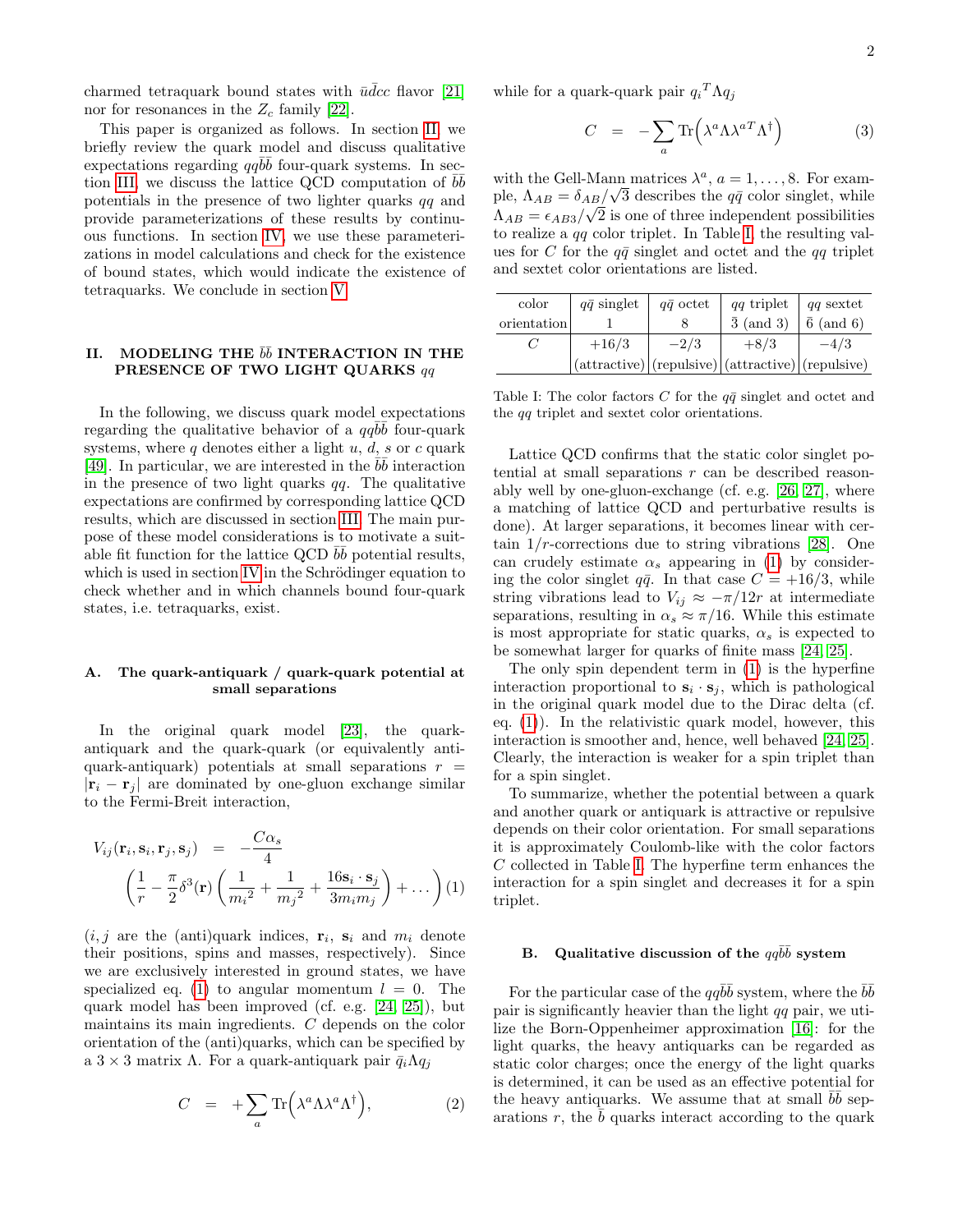charmed tetraquark bound states with  $\bar{u}\bar{d}c$  flavor [\[21\]](#page-10-17) nor for resonances in the  $Z_c$  family [\[22\]](#page-10-18).

This paper is organized as follows. In section [II,](#page-1-0) we briefly review the quark model and discuss qualitative expectations regarding  $qq\overline{b}\overline{b}$  four-quark systems. In sec-tion [III,](#page-3-0) we discuss the lattice QCD computation of  $b\bar{b}$ potentials in the presence of two lighter quarks qq and provide parameterizations of these results by continuous functions. In section [IV,](#page-6-0) we use these parameterizations in model calculations and check for the existence of bound states, which would indicate the existence of tetraquarks. We conclude in section [V.](#page-8-0)

### <span id="page-1-0"></span>II. MODELING THE  $b\bar{b}$  INTERACTION IN THE PRESENCE OF TWO LIGHT QUARKS qq

In the following, we discuss quark model expectations regarding the qualitative behavior of a  $qq\bar{b}\bar{b}$  four-quark systems, where q denotes either a light  $u, d, s$  or c quark [\[49\]](#page-11-0). In particular, we are interested in the  $b\bar{b}$  interaction in the presence of two light quarks  $qq$ . The qualitative expectations are confirmed by corresponding lattice QCD results, which are discussed in section [III.](#page-3-0) The main purpose of these model considerations is to motivate a suitable fit function for the lattice QCD  $b\bar{b}$  potential results, which is used in section [IV](#page-6-0) in the Schrödinger equation to check whether and in which channels bound four-quark states, i.e. tetraquarks, exist.

#### <span id="page-1-3"></span>A. The quark-antiquark / quark-quark potential at small separations

In the original quark model [\[23\]](#page-10-19), the quarkantiquark and the quark-quark (or equivalently antiquark-antiquark) potentials at small separations  $r =$  $|\mathbf{r}_i - \mathbf{r}_j|$  are dominated by one-gluon exchange similar to the Fermi-Breit interaction,

<span id="page-1-1"></span>
$$
V_{ij}(\mathbf{r}_i, \mathbf{s}_i, \mathbf{r}_j, \mathbf{s}_j) = -\frac{C\alpha_s}{4}
$$

$$
\left(\frac{1}{r} - \frac{\pi}{2}\delta^3(\mathbf{r})\left(\frac{1}{m_i^2} + \frac{1}{m_j^2} + \frac{16\mathbf{s}_i \cdot \mathbf{s}_j}{3m_i m_j}\right) + \dots\right) (1)
$$

 $(i, j$  are the (anti)quark indices,  $\mathbf{r}_i$ ,  $\mathbf{s}_i$  and  $m_i$  denote their positions, spins and masses, respectively). Since we are exclusively interested in ground states, we have specialized eq. [\(1\)](#page-1-1) to angular momentum  $l = 0$ . The quark model has been improved (cf. e.g. [\[24,](#page-10-20) [25\]](#page-10-21)), but maintains its main ingredients. C depends on the color orientation of the (anti)quarks, which can be specified by a  $3 \times 3$  matrix Λ. For a quark-antiquark pair  $\bar{q}_i \Lambda q_i$ 

$$
C = +\sum_{a} \text{Tr}\left(\lambda^{a} \Lambda \lambda^{a} \Lambda^{\dagger}\right), \tag{2}
$$

while for a quark-quark pair  $q_i^T \Lambda q_j$ 

$$
C = -\sum_{a} \text{Tr}\left(\lambda^{a} \Lambda \lambda^{a} \Lambda^{\dagger}\right) \tag{3}
$$

with the Gell-Mann matrices  $\lambda^a$ ,  $a = 1, \ldots, 8$ . For example,  $\Lambda_{AB} = \delta_{AB}/\sqrt{3}$  describes the  $q\bar{q}$  color singlet, while  $\Lambda_{AB} = \epsilon_{AB3}/\sqrt{2}$  is one of three independent possibilities to realize a qq color triplet. In Table [I,](#page-1-2) the resulting values for C for the  $q\bar{q}$  singlet and octet and the  $qq$  triplet and sextet color orientations are listed.

| color       | $q\bar{q}$ singlet | $q\bar{q}$ octet | $qq$ triplet   $qq$ sextet                                |                   |
|-------------|--------------------|------------------|-----------------------------------------------------------|-------------------|
| orientation |                    |                  | $\bar{3}$ (and 3)                                         | $\bar{6}$ (and 6) |
|             | $+16/3$            | $-2/3$           | $+8/3$                                                    | $-4/3$            |
|             |                    |                  | $(attractive)   (repulsive)   (attractive)   (repulsive)$ |                   |

<span id="page-1-2"></span>Table I: The color factors C for the  $q\bar{q}$  singlet and octet and the qq triplet and sextet color orientations.

Lattice QCD confirms that the static color singlet potential at small separations  $r$  can be described reasonably well by one-gluon-exchange (cf. e.g. [\[26,](#page-10-22) [27\]](#page-10-23), where a matching of lattice QCD and perturbative results is done). At larger separations, it becomes linear with certain  $1/r$ -corrections due to string vibrations [\[28\]](#page-10-24). One can crudely estimate  $\alpha_s$  appearing in [\(1\)](#page-1-1) by considering the color singlet  $q\bar{q}$ . In that case  $C = +16/3$ , while string vibrations lead to  $V_{ij} \approx -\pi/12r$  at intermediate separations, resulting in  $\alpha_s \approx \pi/16$ . While this estimate is most appropriate for static quarks,  $\alpha_s$  is expected to be somewhat larger for quarks of finite mass [\[24,](#page-10-20) [25\]](#page-10-21).

The only spin dependent term in [\(1\)](#page-1-1) is the hyperfine interaction proportional to  $s_i \cdot s_j$ , which is pathological in the original quark model due to the Dirac delta (cf. eq.  $(1)$ ). In the relativistic quark model, however, this interaction is smoother and, hence, well behaved [\[24,](#page-10-20) [25\]](#page-10-21). Clearly, the interaction is weaker for a spin triplet than for a spin singlet.

To summarize, whether the potential between a quark and another quark or antiquark is attractive or repulsive depends on their color orientation. For small separations it is approximately Coulomb-like with the color factors C collected in Table [I.](#page-1-2) The hyperfine term enhances the interaction for a spin singlet and decreases it for a spin triplet.

## <span id="page-1-4"></span>B. Qualitative discussion of the  $q\bar{q}\bar{b}\bar{b}$  system

For the particular case of the  $qq\bar{b}\bar{b}$  system, where the  $\bar{b}\bar{b}$ pair is significantly heavier than the light  $qq$  pair, we utilize the Born-Oppenheimer approximation [\[16\]](#page-10-12): for the light quarks, the heavy antiquarks can be regarded as static color charges; once the energy of the light quarks is determined, it can be used as an effective potential for the heavy antiquarks. We assume that at small  $\bar{b}\bar{b}$  separations  $r$ , the  $b$  quarks interact according to the quark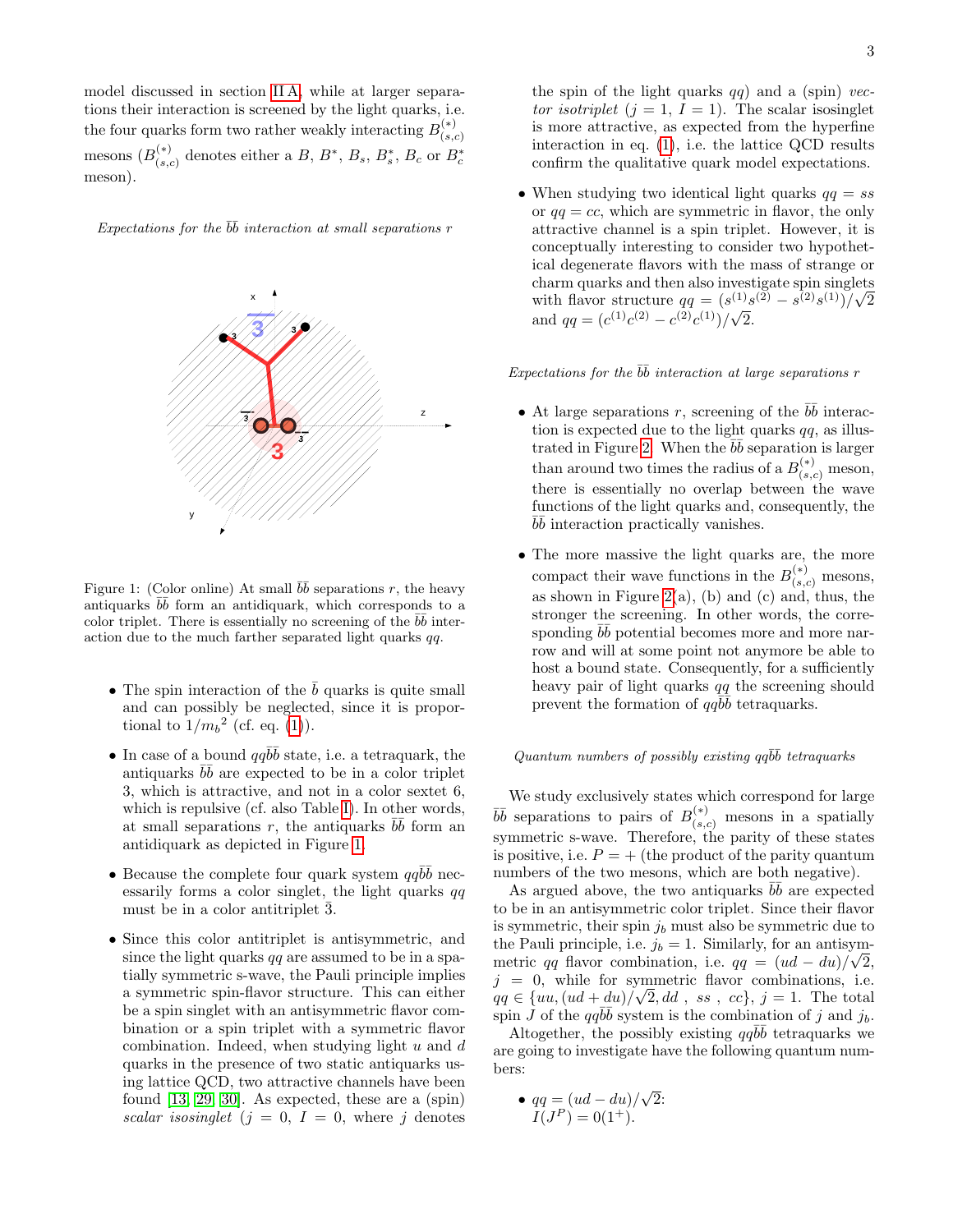model discussed in section [II A,](#page-1-3) while at larger separations their interaction is screened by the light quarks, i.e. the four quarks form two rather weakly interacting  $B_{(s)}^{(*)}$  $(s,c)$ mesons  $(B_{(s)}^{(*)}$  $\mathcal{L}_{(s,c)}^{(*)}$  denotes either a B,  $B^*, B_s, B_s, B_c$  or  $B_c^*$ meson).

Expectations for the  $\bar{b}\bar{b}$  interaction at small separations r



<span id="page-2-0"></span>Figure 1: (Color online) At small  $b\bar{b}$  separations r, the heavy antiquarks  $b\bar{b}$  form an antidiquark, which corresponds to a color triplet. There is essentially no screening of the  $b\bar{b}$  interaction due to the much farther separated light quarks  $qq$ .

- The spin interaction of the  $b$  quarks is quite small and can possibly be neglected, since it is proportional to  $1/m_b^2$  (cf. eq. [\(1\)](#page-1-1)).
- In case of a bound  $qq\bar{b}\bar{b}$  state, i.e. a tetraquark, the antiquarks  $\overline{b}\overline{b}$  are expected to be in a color triplet 3, which is attractive, and not in a color sextet 6, which is repulsive (cf. also Table [I\)](#page-1-2). In other words, at small separations r, the antiquarks  $b\bar{b}$  form an antidiquark as depicted in Figure [1.](#page-2-0)
- Because the complete four quark system  $qq\bar{b}\bar{b}$  necessarily forms a color singlet, the light quarks  $qq$ must be in a color antitriplet 3.
- Since this color antitriplet is antisymmetric, and since the light quarks  $qq$  are assumed to be in a spatially symmetric s-wave, the Pauli principle implies a symmetric spin-flavor structure. This can either be a spin singlet with an antisymmetric flavor combination or a spin triplet with a symmetric flavor combination. Indeed, when studying light  $u$  and  $d$ quarks in the presence of two static antiquarks using lattice QCD, two attractive channels have been found [\[13,](#page-10-9) [29,](#page-10-25) [30\]](#page-10-26). As expected, these are a (spin) scalar isosinglet  $(j = 0, I = 0,$  where j denotes

the spin of the light quarks  $qq$ ) and a (spin) vector isotriplet  $(j = 1, I = 1)$ . The scalar isosinglet is more attractive, as expected from the hyperfine interaction in eq. [\(1\)](#page-1-1), i.e. the lattice QCD results confirm the qualitative quark model expectations.

• When studying two identical light quarks  $qq = ss$ or  $qq = cc$ , which are symmetric in flavor, the only attractive channel is a spin triplet. However, it is conceptually interesting to consider two hypothetical degenerate flavors with the mass of strange or charm quarks and then also investigate spin singlets charm quarks and then also investigate spin singlet<br>with flavor structure  $qq = (s^{(1)}s^{(2)} - s^{(2)}s^{(1)})/\sqrt{ }$ 2 with navor structure  $qq = (s^{(1)} - c^{(2)})/(\sqrt{s})$ 2.

Expectations for the  $b\bar{b}$  interaction at large separations r

- At large separations r, screening of the  $b\bar{b}$  interaction is expected due to the light quarks  $qq$ , as illus-trated in Figure [2.](#page-3-1) When the  $b\bar{b}$  separation is larger than around two times the radius of a  $B_{(s,c)}^{(*)}$  meson, there is essentially no overlap between the wave functions of the light quarks and, consequently, the  $b\bar{b}$  interaction practically vanishes.
- The more massive the light quarks are, the more compact their wave functions in the  $B_{(s,c)}^{(*)}$  mesons, as shown in Figure [2\(](#page-3-1)a), (b) and (c) and, thus, the stronger the screening. In other words, the corresponding  $b\bar{b}$  potential becomes more and more narrow and will at some point not anymore be able to host a bound state. Consequently, for a sufficiently heavy pair of light quarks qq the screening should prevent the formation of  $q\bar{b}\bar{b}$  tetraquarks.

## Quantum numbers of possibly existing  $qq\bar{b}\bar{b}$  tetraquarks

We study exclusively states which correspond for large  $b\bar{b}$  separations to pairs of  $B_{(s,c)}^{(*)}$  mesons in a spatially symmetric s-wave. Therefore, the parity of these states is positive, i.e.  $P = +$  (the product of the parity quantum numbers of the two mesons, which are both negative).

As argued above, the two antiquarks  $b\bar{b}$  are expected to be in an antisymmetric color triplet. Since their flavor is symmetric, their spin  $j<sub>b</sub>$  must also be symmetric due to the Pauli principle, i.e.  $j_b = 1$ . Similarly, for an antisymmetric qq flavor combination, i.e.  $qq = (ud - du)/\sqrt{2}$ ,  $j = 0$ , while for symmetric flavor combinations, i.e.  $qq \in \{uu, (ud+du)/\sqrt{2}, dd, ss, cc\}, j=1$ . The total spin  $\tilde{J}$  of the  $qq\bar{b}\bar{b}$  system is the combination of j and  $j_b$ .

Altogether, the possibly existing  $qq\bar{b}\bar{b}$  tetraquarks we are going to investigate have the following quantum numbers:

• 
$$
qq = (ud - du) / \sqrt{2}
$$
:  
\n $I(J^P) = 0(1^+).$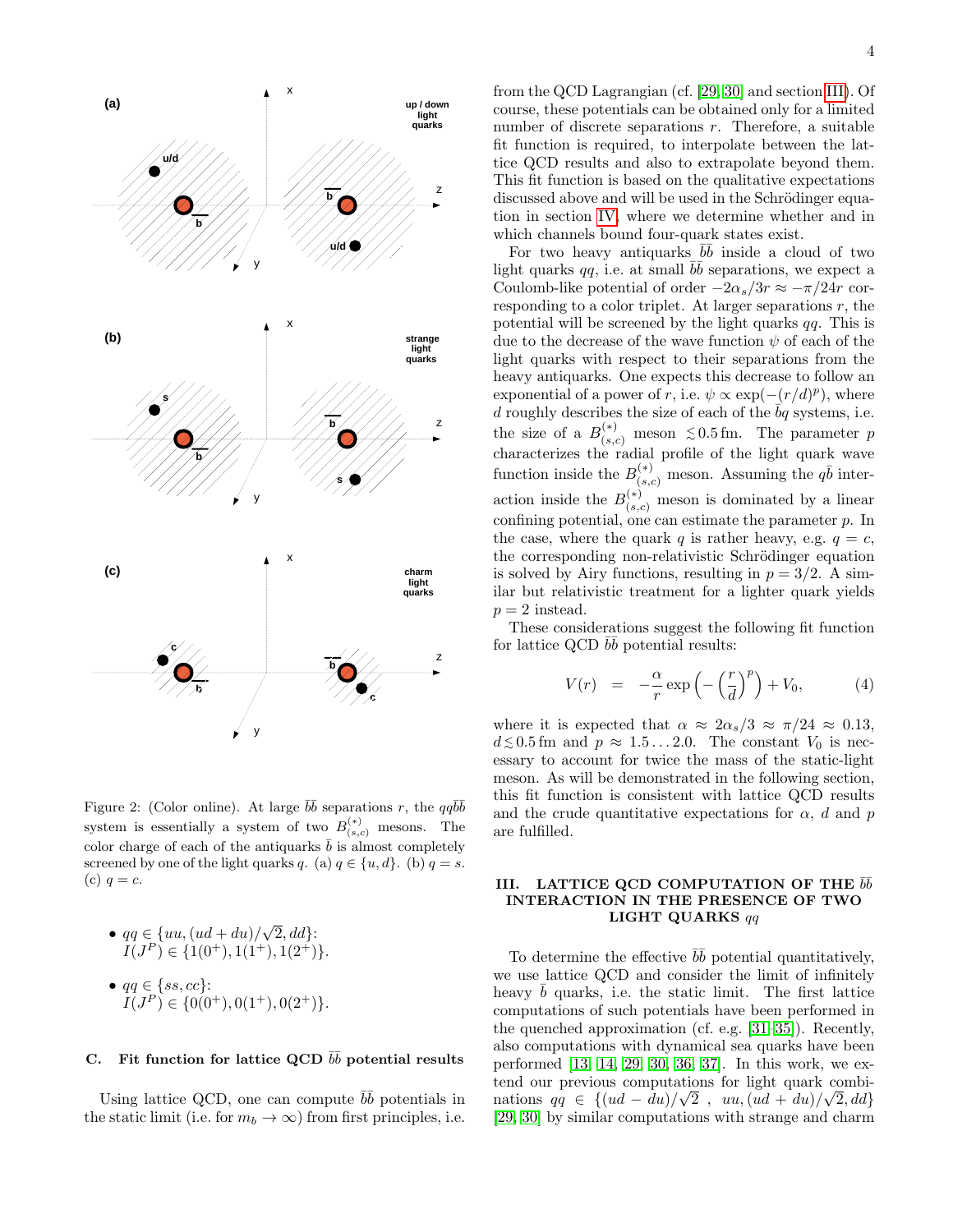

<span id="page-3-1"></span>Figure 2: (Color online). At large  $\bar{b}\bar{b}$  separations r, the  $qq\bar{b}\bar{b}$ system is essentially a system of two  $B_{(s,c)}^{(*)}$  mesons. The color charge of each of the antiquarks  $\bar{b}$  is almost completely screened by one of the light quarks q. (a)  $q \in \{u, d\}$ . (b)  $q = s$ . (c)  $q = c$ .

• 
$$
qq \in \{uu, (ud + du)/\sqrt{2}, dd\}
$$
:  
 $I(J^P) \in \{1(0^+), 1(1^+), 1(2^+)\}.$ 

• 
$$
qq \in \{ss, cc\}
$$
:  
\n $I(J^P) \in \{0(0^+), 0(1^+), 0(2^+)\}.$ 

## <span id="page-3-3"></span>C. Fit function for lattice QCD  $b\bar{b}$  potential results

Using lattice QCD, one can compute  $b\bar{b}$  potentials in the static limit (i.e. for  $m_b \to \infty$ ) from first principles, i.e.

from the QCD Lagrangian (cf. [\[29,](#page-10-25) [30\]](#page-10-26) and section [III\)](#page-3-0). Of course, these potentials can be obtained only for a limited number of discrete separations  $r$ . Therefore, a suitable fit function is required, to interpolate between the lattice QCD results and also to extrapolate beyond them. This fit function is based on the qualitative expectations discussed above and will be used in the Schrödinger equation in section [IV,](#page-6-0) where we determine whether and in which channels bound four-quark states exist.

For two heavy antiquarks  $b\bar{b}$  inside a cloud of two light quarks  $qq$ , i.e. at small  $b\bar{b}$  separations, we expect a Coulomb-like potential of order  $-2\alpha_s/3r \approx -\pi/24r$  corresponding to a color triplet. At larger separations  $r$ , the potential will be screened by the light quarks  $qq$ . This is due to the decrease of the wave function  $\psi$  of each of the light quarks with respect to their separations from the heavy antiquarks. One expects this decrease to follow an exponential of a power of r, i.e.  $\psi \propto \exp(-(r/d)^p)$ , where d roughly describes the size of each of the  $\overline{b}q$  systems, i.e. the size of a  $B_{(s,c)}^{(*)}$  meson  $\leq 0.5$  fm. The parameter p characterizes the radial profile of the light quark wave function inside the  $B_{(s,c)}^{(*)}$  meson. Assuming the  $q\bar{b}$  interaction inside the  $B_{(s,c)}^{(*)}$  meson is dominated by a linear confining potential, one can estimate the parameter  $p$ . In the case, where the quark q is rather heavy, e.g.  $q = c$ , the corresponding non-relativistic Schrödinger equation is solved by Airy functions, resulting in  $p = 3/2$ . A similar but relativistic treatment for a lighter quark yields  $p = 2$  instead.

These considerations suggest the following fit function for lattice QCD  $b\bar{b}$  potential results:

<span id="page-3-2"></span>
$$
V(r) = -\frac{\alpha}{r} \exp\left(-\left(\frac{r}{d}\right)^p\right) + V_0, \tag{4}
$$

where it is expected that  $\alpha \approx 2\alpha_s/3 \approx \pi/24 \approx 0.13$ ,  $d \lesssim 0.5$  fm and  $p \approx 1.5...2.0$ . The constant  $V_0$  is necessary to account for twice the mass of the static-light meson. As will be demonstrated in the following section, this fit function is consistent with lattice QCD results and the crude quantitative expectations for  $\alpha$ , d and p are fulfilled.

### <span id="page-3-0"></span>III. LATTICE QCD COMPUTATION OF THE  $b\bar b$ INTERACTION IN THE PRESENCE OF TWO LIGHT QUARKS qq

To determine the effective  $b\bar{b}$  potential quantitatively, we use lattice QCD and consider the limit of infinitely heavy  $\bar{b}$  quarks, i.e. the static limit. The first lattice computations of such potentials have been performed in the quenched approximation (cf. e.g. [\[31](#page-11-1)[–35\]](#page-11-2)). Recently, also computations with dynamical sea quarks have been performed [\[13,](#page-10-9) [14,](#page-10-10) [29,](#page-10-25) [30,](#page-10-26) [36,](#page-11-3) [37\]](#page-11-4). In this work, we extend our previous computations for light quark combinations  $qq \in \{(ud - du)/\sqrt{2}, uu, (ud + du)/\sqrt{2}, dd\}$ [\[29,](#page-10-25) [30\]](#page-10-26) by similar computations with strange and charm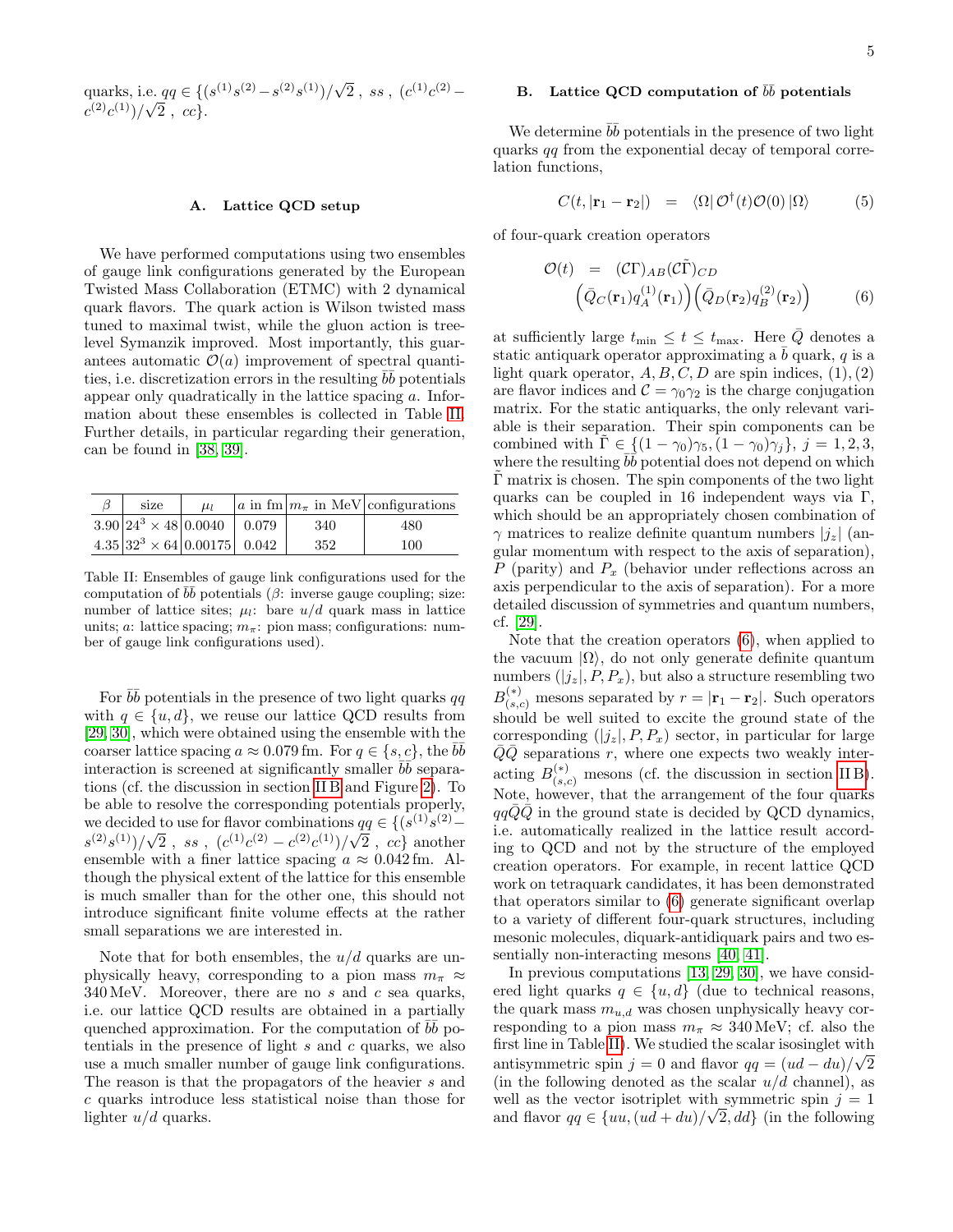quarks, i.e.  $qq \in \{ (s^{(1)}s^{(2)} - s^{(2)}s^{(1)})/\sqrt{\ }$ e. qq ∈ {(s<sup>(1)</sup>s<sup>(2)</sup> – s<sup>(2)</sup>s<sup>(1)</sup>)/ $\sqrt{2}$ , ss, (c<sup>(1)</sup>c<sup>(2)</sup> –  $(c^{(2)}c^{(1)})/\sqrt{2}$ , cc}.

### A. Lattice QCD setup

We have performed computations using two ensembles of gauge link configurations generated by the European Twisted Mass Collaboration (ETMC) with 2 dynamical quark flavors. The quark action is Wilson twisted mass tuned to maximal twist, while the gluon action is treelevel Symanzik improved. Most importantly, this guarantees automatic  $\mathcal{O}(a)$  improvement of spectral quantities, i.e. discretization errors in the resulting  $b\bar{b}$  potentials appear only quadratically in the lattice spacing a. Information about these ensembles is collected in Table [II.](#page-4-0) Further details, in particular regarding their generation, can be found in [\[38,](#page-11-5) [39\]](#page-11-6).

| size                                | $\mu_l$ |     | $ a \text{ in fm}  m_{\pi}$ in MeV configurations |
|-------------------------------------|---------|-----|---------------------------------------------------|
| $3.90 24^3 \times 48 0.0040 $ 0.079 |         | 340 | 480                                               |
| $4.35 32^3 \times 64 0.00175 0.042$ |         | 352 | 100                                               |

<span id="page-4-0"></span>Table II: Ensembles of gauge link configurations used for the computation of  $b\bar{b}$  potentials ( $\beta$ : inverse gauge coupling; size: number of lattice sites;  $\mu_l$ : bare  $u/d$  quark mass in lattice units; a: lattice spacing;  $m_{\pi}$ : pion mass; configurations: number of gauge link configurations used).

For  $b\bar{b}$  potentials in the presence of two light quarks qq with  $q \in \{u, d\}$ , we reuse our lattice QCD results from [\[29,](#page-10-25) [30\]](#page-10-26), which were obtained using the ensemble with the coarser lattice spacing  $a \approx 0.079$  fm. For  $q \in \{s, c\}$ , the  $b\overline{b}$ interaction is screened at significantly smaller  $\overline{bb}$  separations (cf. the discussion in section [II B](#page-1-4) and Figure [2\)](#page-3-1). To be able to resolve the corresponding potentials properly, we decided to use for flavor combinations  $qq \in \{(s^{(1)}s^{(2)}$ we decided<br> $s^{(2)}s^{(1)})/\sqrt{}$ to use for havor combinations  $\frac{a}{2}$ , ss,  $(c^{(1)}c^{(2)} - c^{(2)}c^{(1)})/\sqrt{2}$ 2,  $cc$ } another ensemble with a finer lattice spacing  $a \approx 0.042$  fm. Although the physical extent of the lattice for this ensemble is much smaller than for the other one, this should not introduce significant finite volume effects at the rather small separations we are interested in.

Note that for both ensembles, the  $u/d$  quarks are unphysically heavy, corresponding to a pion mass  $m_{\pi} \approx$  $340 \,\text{MeV}$ . Moreover, there are no s and c sea quarks, i.e. our lattice QCD results are obtained in a partially quenched approximation. For the computation of  $b\bar{b}$  potentials in the presence of light  $s$  and  $c$  quarks, we also use a much smaller number of gauge link configurations. The reason is that the propagators of the heavier s and c quarks introduce less statistical noise than those for lighter  $u/d$  quarks.

## B. Lattice QCD computation of  $b\bar{b}$  potentials

We determine  $b\bar{b}$  potentials in the presence of two light quarks qq from the exponential decay of temporal correlation functions,

<span id="page-4-2"></span>
$$
C(t, |\mathbf{r}_1 - \mathbf{r}_2|) = \langle \Omega | \mathcal{O}^\dagger(t) \mathcal{O}(0) | \Omega \rangle \tag{5}
$$

of four-quark creation operators

<span id="page-4-1"></span>
$$
\mathcal{O}(t) = (\mathcal{C}\Gamma)_{AB}(\mathcal{C}\tilde{\Gamma})_{CD} \n\left(\bar{Q}_C(\mathbf{r}_1)q_A^{(1)}(\mathbf{r}_1)\right) \left(\bar{Q}_D(\mathbf{r}_2)q_B^{(2)}(\mathbf{r}_2)\right)
$$
\n(6)

at sufficiently large  $t_{\min} \leq t \leq t_{\max}$ . Here  $\overline{Q}$  denotes a static antiquark operator approximating a  $b$  quark,  $q$  is a light quark operator,  $A, B, C, D$  are spin indices,  $(1), (2)$ are flavor indices and  $\mathcal{C} = \gamma_0 \gamma_2$  is the charge conjugation matrix. For the static antiquarks, the only relevant variable is their separation. Their spin components can be combined with  $\tilde{\Gamma} \in \{(1-\gamma_0)\gamma_5, (1-\gamma_0)\gamma_j\}, j=1,2,3,$ where the resulting  $\overrightarrow{bb}$  potential does not depend on which  $\Gamma$  matrix is chosen. The spin components of the two light quarks can be coupled in 16 independent ways via  $\Gamma$ , which should be an appropriately chosen combination of  $\gamma$  matrices to realize definite quantum numbers  $|i_z|$  (angular momentum with respect to the axis of separation), P (parity) and  $P_x$  (behavior under reflections across an axis perpendicular to the axis of separation). For a more detailed discussion of symmetries and quantum numbers, cf. [\[29\]](#page-10-25).

Note that the creation operators [\(6\)](#page-4-1), when applied to the vacuum  $|\Omega\rangle$ , do not only generate definite quantum numbers  $(|j_z|, P, P_x)$ , but also a structure resembling two  $B_{(s,c)}^{(*)}$  mesons separated by  $r = |\mathbf{r}_1 - \mathbf{r}_2|$ . Such operators should be well suited to excite the ground state of the corresponding  $(|j_z|, P, P_x)$  sector, in particular for large  $\overline{Q}\overline{Q}$  separations r, where one expects two weakly interacting  $B_{(s,c)}^{(*)}$  mesons (cf. the discussion in section IIB). Note, however, that the arrangement of the four quarks  $qq\overline{Q}\overline{Q}$  in the ground state is decided by QCD dynamics, i.e. automatically realized in the lattice result according to QCD and not by the structure of the employed creation operators. For example, in recent lattice QCD work on tetraquark candidates, it has been demonstrated that operators similar to [\(6\)](#page-4-1) generate significant overlap to a variety of different four-quark structures, including mesonic molecules, diquark-antidiquark pairs and two essentially non-interacting mesons [\[40,](#page-11-7) [41\]](#page-11-8).

In previous computations [\[13,](#page-10-9) [29,](#page-10-25) [30\]](#page-10-26), we have considered light quarks  $q \in \{u, d\}$  (due to technical reasons, the quark mass  $m_{u,d}$  was chosen unphysically heavy corresponding to a pion mass  $m_{\pi} \approx 340 \,\text{MeV}$ ; cf. also the first line in Table [II\)](#page-4-0). We studied the scalar isosinglet with antisymmetric spin  $j = 0$  and flavor  $qq = (ud - du)/\sqrt{2}$ (in the following denoted as the scalar  $u/d$  channel), as well as the vector isotriplet with symmetric spin  $j = 1$ and flavor  $qq \in \{uu, (ud+du)/\sqrt{2}, dd\}$  (in the following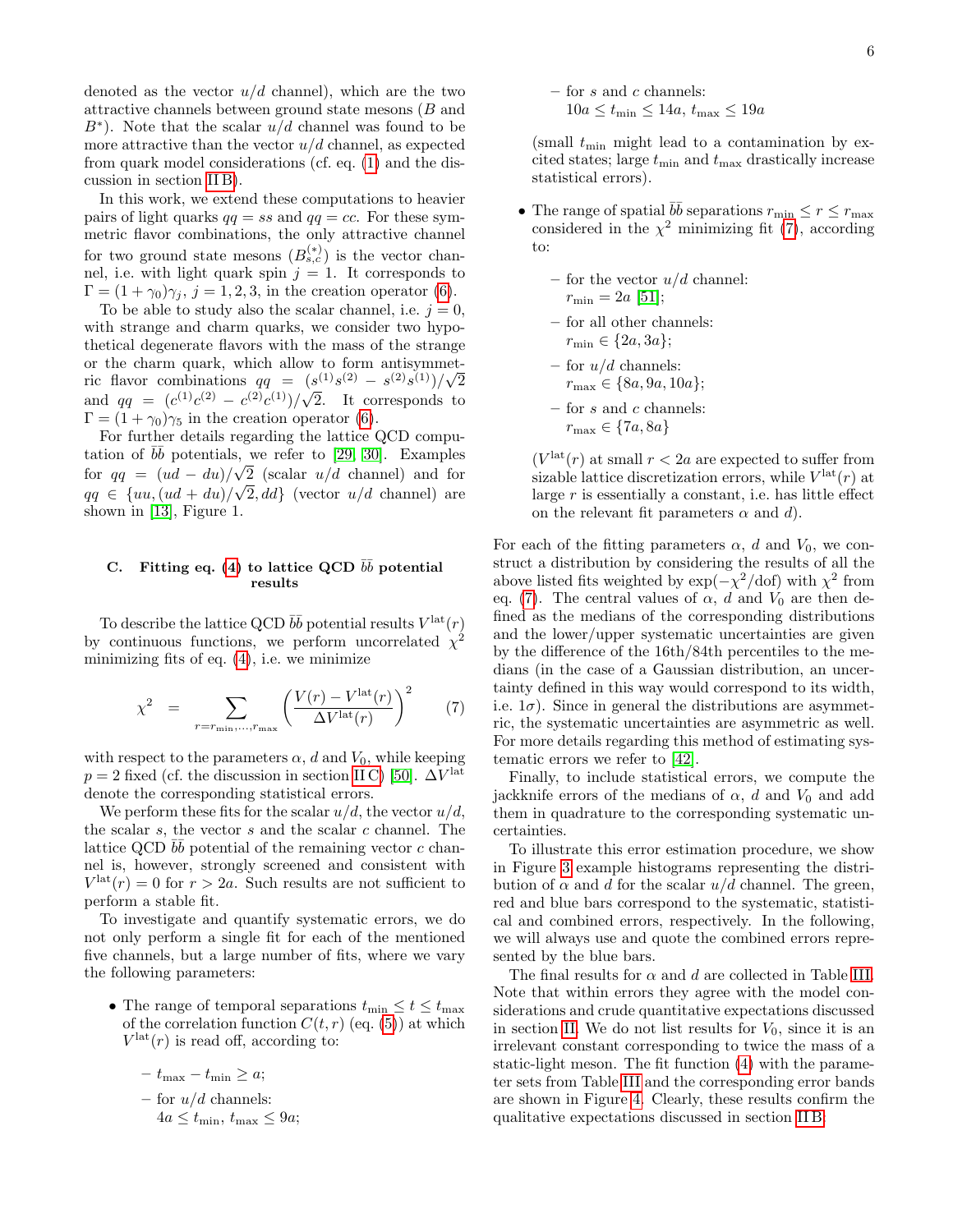denoted as the vector  $u/d$  channel), which are the two attractive channels between ground state mesons  $(B \text{ and }$  $B^*$ ). Note that the scalar  $u/d$  channel was found to be more attractive than the vector  $u/d$  channel, as expected from quark model considerations (cf. eq. [\(1\)](#page-1-1) and the discussion in section [II B\)](#page-1-4).

In this work, we extend these computations to heavier pairs of light quarks  $qq = ss$  and  $qq = cc$ . For these symmetric flavor combinations, the only attractive channel for two ground state mesons  $(B_{s,c}^{(*)})$  is the vector channel, i.e. with light quark spin  $j = 1$ . It corresponds to  $\Gamma = (1 + \gamma_0)\gamma_j$ ,  $j = 1, 2, 3$ , in the creation operator [\(6\)](#page-4-1).

To be able to study also the scalar channel, i.e.  $j = 0$ , with strange and charm quarks, we consider two hypothetical degenerate flavors with the mass of the strange or the charm quark, which allow to form antisymmetric flavor combinations  $qq = (s^{(1)}s^{(2)} - s^{(2)}s^{(1)})/\sqrt{2}$ and  $qq = (c^{(1)}c^{(2)} - c^{(2)}c^{(1)})/\sqrt{2}$ . It corresponds to  $\Gamma = (1 + \gamma_0)\gamma_5$  in the creation operator [\(6\)](#page-4-1).

For further details regarding the lattice QCD computation of  $b\bar{b}$  potentials, we refer to [\[29,](#page-10-25) [30\]](#page-10-26). Examples for  $qq = (ud - du)/\sqrt{2}$  (scalar  $u/d$  channel) and for  $qq \in \{uu, (ud+du)/\sqrt{2}, dd\}$  (vector  $u/d$  channel) are shown in [\[13\]](#page-10-9), Figure 1.

### <span id="page-5-1"></span>C. Fitting eq. [\(4\)](#page-3-2) to lattice QCD  $b\bar{b}$  potential results

To describe the lattice QCD  $b\bar{b}$  potential results  $V^{\text{lat}}(r)$ by continuous functions, we perform uncorrelated  $\chi^2$ minimizing fits of eq.  $(4)$ , i.e. we minimize

<span id="page-5-0"></span>
$$
\chi^2 = \sum_{r = r_{\min}, \dots, r_{\max}} \left( \frac{V(r) - V^{\text{lat}}(r)}{\Delta V^{\text{lat}}(r)} \right)^2 \tag{7}
$$

with respect to the parameters  $\alpha$ , d and  $V_0$ , while keeping  $p = 2$  fixed (cf. the discussion in section IIC) [\[50\]](#page-11-9).  $\Delta V^{\text{lat}}$ denote the corresponding statistical errors.

We perform these fits for the scalar  $u/d$ , the vector  $u/d$ , the scalar  $s$ , the vector  $s$  and the scalar  $c$  channel. The lattice QCD  $b\bar{b}$  potential of the remaining vector c channel is, however, strongly screened and consistent with  $V^{\text{lat}}(r) = 0$  for  $r > 2a$ . Such results are not sufficient to perform a stable fit.

To investigate and quantify systematic errors, we do not only perform a single fit for each of the mentioned five channels, but a large number of fits, where we vary the following parameters:

• The range of temporal separations  $t_{\min} \leq t \leq t_{\max}$ of the correlation function  $C(t, r)$  (eq. [\(5\)](#page-4-2)) at which  $V^{\text{lat}}(r)$  is read off, according to:

- 
$$
t_{\text{max}} - t_{\text{min}} \ge a
$$
;  
\n- for  $u/d$  channels:  
\n $4a \le t_{\text{min}}, t_{\text{max}} \le 9a$ ;

– for  $s$  and  $c$  channels:  $10a \le t_{\min} \le 14a$ ,  $t_{\max} \le 19a$ 

(small  $t_{\min}$  might lead to a contamination by excited states; large  $t_{\min}$  and  $t_{\max}$  drastically increase statistical errors).

- The range of spatial  $b\bar{b}$  separations  $r_{\min} \leq r \leq r_{\max}$ considered in the  $\chi^2$  minimizing fit [\(7\)](#page-5-0), according to:
	- for the vector  $u/d$  channel:  $r_{\rm min} = 2a$  [\[51\]](#page-11-10);
	- for all other channels:  $r_{\min} \in \{2a, 3a\};$
	- for  $u/d$  channels:  $r_{\text{max}} \in \{8a, 9a, 10a\};$
	- for  $s$  and  $c$  channels:  $r_{\text{max}} \in \{7a, 8a\}$

 $(V<sup>lat</sup>(r)$  at small  $r < 2a$  are expected to suffer from sizable lattice discretization errors, while  $V^{\text{lat}}(r)$  at large  $r$  is essentially a constant, i.e. has little effect on the relevant fit parameters  $\alpha$  and  $d$ ).

For each of the fitting parameters  $\alpha$ , d and  $V_0$ , we construct a distribution by considering the results of all the above listed fits weighted by  $\exp(-\chi^2/\text{dof})$  with  $\chi^2$  from eq. [\(7\)](#page-5-0). The central values of  $\alpha$ , d and  $V_0$  are then defined as the medians of the corresponding distributions and the lower/upper systematic uncertainties are given by the difference of the 16th/84th percentiles to the medians (in the case of a Gaussian distribution, an uncertainty defined in this way would correspond to its width, i.e.  $1\sigma$ ). Since in general the distributions are asymmetric, the systematic uncertainties are asymmetric as well. For more details regarding this method of estimating systematic errors we refer to [\[42\]](#page-11-11).

Finally, to include statistical errors, we compute the jackknife errors of the medians of  $\alpha$ , d and  $V_0$  and add them in quadrature to the corresponding systematic uncertainties.

To illustrate this error estimation procedure, we show in Figure [3](#page-6-1) example histograms representing the distribution of  $\alpha$  and d for the scalar  $u/d$  channel. The green, red and blue bars correspond to the systematic, statistical and combined errors, respectively. In the following, we will always use and quote the combined errors represented by the blue bars.

The final results for  $\alpha$  and  $d$  are collected in Table [III.](#page-6-2) Note that within errors they agree with the model considerations and crude quantitative expectations discussed in section [II.](#page-1-0) We do not list results for  $V_0$ , since it is an irrelevant constant corresponding to twice the mass of a static-light meson. The fit function [\(4\)](#page-3-2) with the parameter sets from Table [III](#page-6-2) and the corresponding error bands are shown in Figure [4.](#page-7-0) Clearly, these results confirm the qualitative expectations discussed in section [II B:](#page-1-4)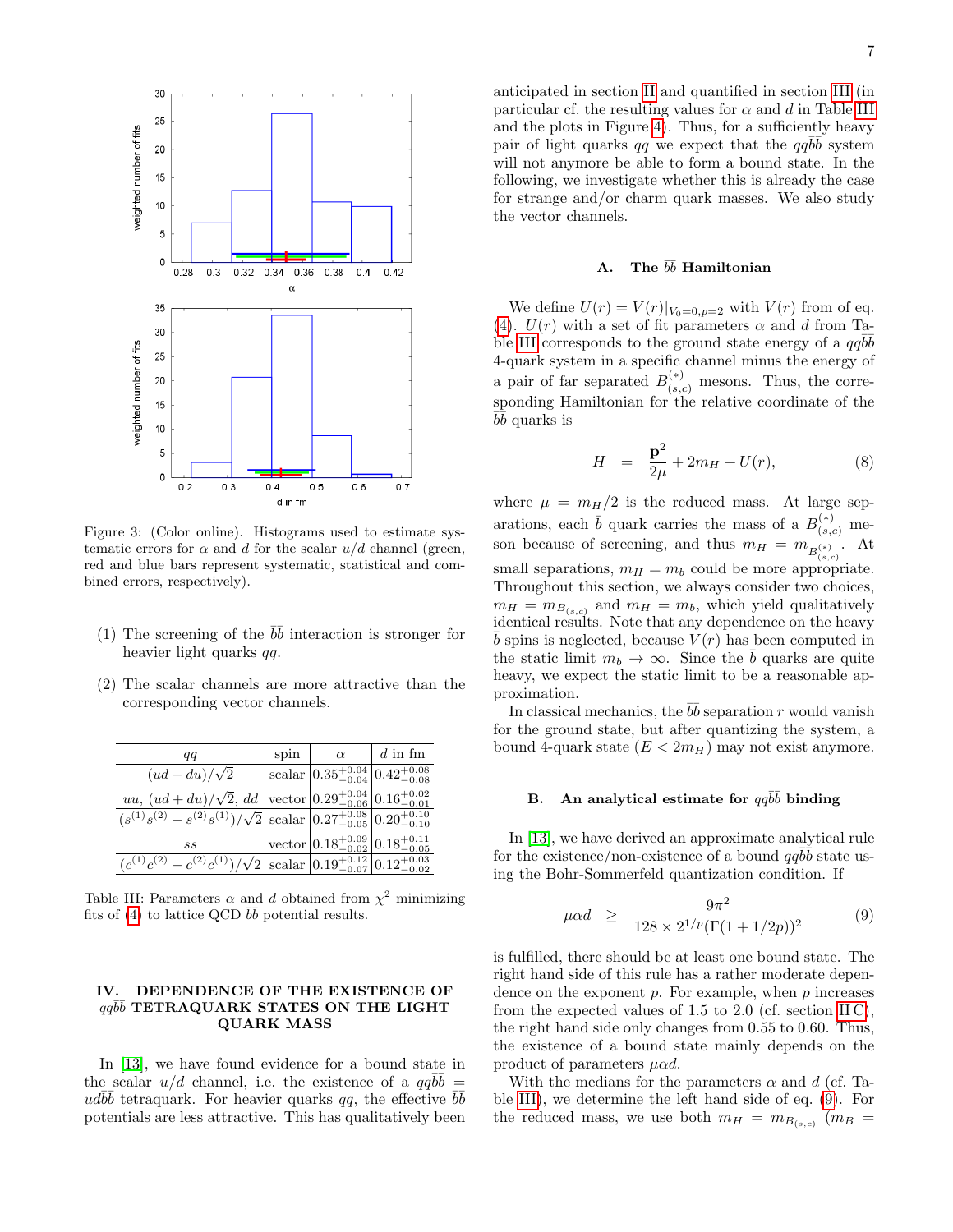

<span id="page-6-1"></span>Figure 3: (Color online). Histograms used to estimate systematic errors for  $\alpha$  and d for the scalar  $u/d$  channel (green, red and blue bars represent systematic, statistical and combined errors, respectively).

- (1) The screening of the  $b\bar{b}$  interaction is stronger for heavier light quarks qq.
- (2) The scalar channels are more attractive than the corresponding vector channels.

| qq                                                                                                                    | spin | $\alpha$                                                                    | $d$ in fm |
|-----------------------------------------------------------------------------------------------------------------------|------|-----------------------------------------------------------------------------|-----------|
| $(ud - du)/\sqrt{2}$                                                                                                  |      | $\vert \text{scalar} \vert 0.35^{+0.04}_{-0.04} \vert 0.42^{+0.08}_{-0.08}$ |           |
| <i>uu</i> , $(ud+du)/\sqrt{2}$ , <i>dd</i> vector $0.29^{+0.04}_{-0.06}$ $0.16^{+0.02}_{-0.01}$                       |      |                                                                             |           |
| $(s^{(1)}s^{(2)} - s^{(2)}s^{(1)})/\sqrt{2}\Big \text{scalar}\Big 0.27^{+0.08}_{-0.05}\Big 0.20^{+0.10}_{-0.10}\Big $ |      |                                                                             |           |
| SS                                                                                                                    |      | $ vector 0.18^{+0.09}_{-0.02} 0.18^{+0.11}_{-0.05}$                         |           |
| $(c^{(1)}c^{(2)} - c^{(2)}c^{(1)})/\sqrt{2}$ scalar $ 0.19_{-0.07}^{+0.12} 0.12_{-0.02}^{+0.03}$                      |      |                                                                             |           |

<span id="page-6-2"></span>Table III: Parameters  $\alpha$  and d obtained from  $\chi^2$  minimizing fits of [\(4\)](#page-3-2) to lattice QCD  $b\bar{b}$  potential results.

#### <span id="page-6-0"></span>IV. DEPENDENCE OF THE EXISTENCE OF  $qq\bar{b}\bar{b}$  TETRAQUARK STATES ON THE LIGHT QUARK MASS

In [\[13\]](#page-10-9), we have found evidence for a bound state in the scalar  $u/d$  channel, i.e. the existence of a  $qq\bar{b}\bar{b}$  = ud $b\bar{b}$  tetraquark. For heavier quarks qq, the effective  $b\bar{b}$ potentials are less attractive. This has qualitatively been anticipated in section [II](#page-1-0) and quantified in section [III](#page-3-0) (in particular cf. the resulting values for  $\alpha$  and d in Table [III](#page-6-2) and the plots in Figure [4\)](#page-7-0). Thus, for a sufficiently heavy pair of light quarks qq we expect that the  $qq\bar{b}\bar{b}$  system will not anymore be able to form a bound state. In the following, we investigate whether this is already the case for strange and/or charm quark masses. We also study the vector channels.

## <span id="page-6-4"></span>A. The  $b\bar b$  Hamiltonian

We define  $U(r) = V(r)|_{V_0=0, p=2}$  with  $V(r)$  from of eq. [\(4\)](#page-3-2).  $U(r)$  with a set of fit parameters  $\alpha$  and d from Ta-ble [III](#page-6-2) corresponds to the ground state energy of a  $qq\bar{b}\bar{b}$ 4-quark system in a specific channel minus the energy of a pair of far separated  $B_{(s,c)}^{(*)}$  mesons. Thus, the corresponding Hamiltonian for the relative coordinate of the  $\overline{b}$  quarks is

<span id="page-6-5"></span>
$$
H = \frac{\mathbf{p}^2}{2\mu} + 2m_H + U(r), \tag{8}
$$

where  $\mu = m_H/2$  is the reduced mass. At large separations, each  $\bar{b}$  quark carries the mass of a  $B_{(s,c)}^{(*)}$  meson because of screening, and thus  $m_H = m_{B_{(s,c)}^{(*)}}$ . At small separations,  $m_H = m_b$  could be more appropriate. Throughout this section, we always consider two choices,  $m_H = m_{B_{(s,c)}}$  and  $m_H = m_b$ , which yield qualitatively identical results. Note that any dependence on the heavy  $\overline{b}$  spins is neglected, because  $V(r)$  has been computed in the static limit  $m_b \to \infty$ . Since the  $\bar{b}$  quarks are quite heavy, we expect the static limit to be a reasonable approximation.

In classical mechanics, the  $b\bar{b}$  separation r would vanish for the ground state, but after quantizing the system, a bound 4-quark state  $(E < 2m_H)$  may not exist anymore.

## B. An analytical estimate for  $qq\bar{b}\bar{b}$  binding

In [\[13\]](#page-10-9), we have derived an approximate analytical rule for the existence/non-existence of a bound  $qq\bar{b}\bar{b}$  state using the Bohr-Sommerfeld quantization condition. If

<span id="page-6-3"></span>
$$
\mu \alpha d \geq \frac{9\pi^2}{128 \times 2^{1/p} (\Gamma(1+1/2p))^2} \tag{9}
$$

is fulfilled, there should be at least one bound state. The right hand side of this rule has a rather moderate dependence on the exponent  $p$ . For example, when  $p$  increases from the expected values of 1.5 to 2.0 (cf. section  $\text{HC}$ ), the right hand side only changes from 0.55 to 0.60. Thus, the existence of a bound state mainly depends on the product of parameters  $u \alpha d$ .

With the medians for the parameters  $\alpha$  and d (cf. Table [III\)](#page-6-2), we determine the left hand side of eq. [\(9\)](#page-6-3). For the reduced mass, we use both  $m_H = m_{B_{(s,c)}}$  ( $m_B =$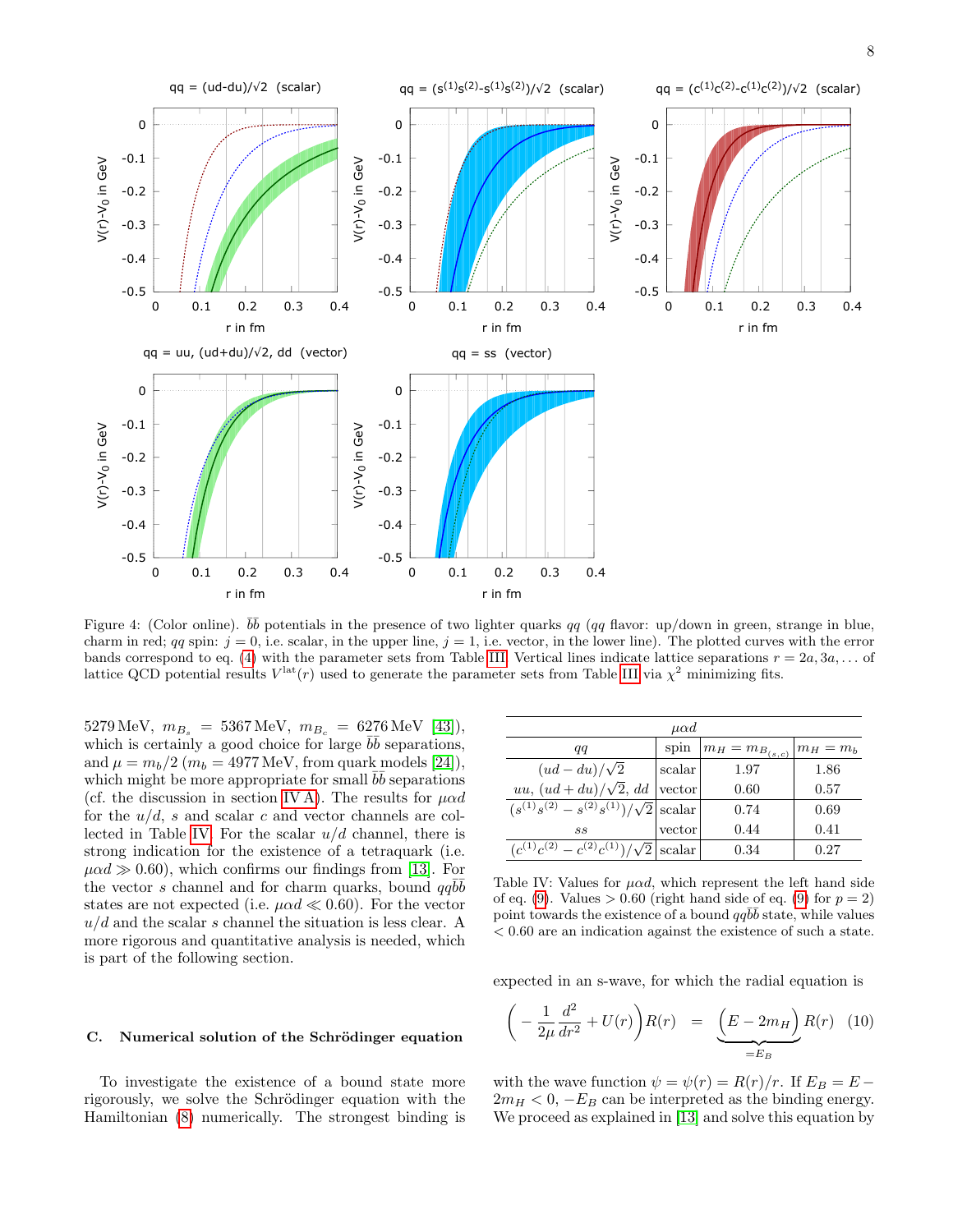

<span id="page-7-0"></span>Figure 4: (Color online).  $b\bar{b}$  potentials in the presence of two lighter quarks qq (qq flavor: up/down in green, strange in blue, charm in red; qq spin:  $j = 0$ , i.e. scalar, in the upper line,  $j = 1$ , i.e. vector, in the lower line). The plotted curves with the error bands correspond to eq. [\(4\)](#page-3-2) with the parameter sets from Table [III.](#page-6-2) Vertical lines indicate lattice separations  $r = 2a, 3a, \ldots$  of lattice QCD potential results  $V^{\text{lat}}(r)$  used to generate the parameter sets from Table [III](#page-6-2) via  $\chi^2$  minimizing fits.

 $5279 \,\text{MeV}, m_{B_s} = 5367 \,\text{MeV}, m_{B_c} = 6276 \,\text{MeV}$  [\[43\]](#page-11-12)), which is certainly a good choice for large  $b\bar{b}$  separations, and  $\mu = m_b/2$  ( $m_b = 4977$  MeV, from quark models [\[24\]](#page-10-20)), which might be more appropriate for small  $b\bar{b}$  separations (cf. the discussion in section [IV A\)](#page-6-4). The results for  $\mu \alpha d$ for the  $u/d$ , s and scalar c and vector channels are col-lected in Table [IV.](#page-7-1) For the scalar  $u/d$  channel, there is strong indication for the existence of a tetraquark (i.e.  $\mu \alpha d \gg 0.60$ , which confirms our findings from [\[13\]](#page-10-9). For the vector s channel and for charm quarks, bound  $qq\bar{b}\bar{b}$ states are not expected (i.e.  $\mu \alpha d \ll 0.60$ ). For the vector  $u/d$  and the scalar s channel the situation is less clear. A more rigorous and quantitative analysis is needed, which is part of the following section.

#### C. Numerical solution of the Schrödinger equation

To investigate the existence of a bound state more rigorously, we solve the Schrödinger equation with the Hamiltonian [\(8\)](#page-6-5) numerically. The strongest binding is

| $\mu \alpha d$                                      |        |                       |             |  |
|-----------------------------------------------------|--------|-----------------------|-------------|--|
| qq                                                  | spin   | $m_H = m_{B_{(s,c)}}$ | $m_H = m_b$ |  |
| $(ud - du)/\sqrt{2}$                                | scalar | 1.97                  | 1.86        |  |
| uu, $(ud + du)/\sqrt{2}$ , dd                       | vector | 0.60                  | 0.57        |  |
| $(s^{(1)}s^{(2)} - s^{(2)}s^{(1)})/\sqrt{2}$ scalar |        | 0.74                  | 0.69        |  |
| SS                                                  | vector | 0.44                  | 0.41        |  |
| $(c^{(1)}c^{(2)} - c^{(2)}c^{(1)})/$                | scalar | 0.34                  | 0.27        |  |

<span id="page-7-1"></span>Table IV: Values for  $\mu \alpha d$ , which represent the left hand side of eq. [\(9\)](#page-6-3). Values  $> 0.60$  (right hand side of eq. (9) for  $p = 2$ ) point towards the existence of a bound  $q\bar{q}\bar{b}\bar{b}$  state, while values < 0.60 are an indication against the existence of such a state.

expected in an s-wave, for which the radial equation is

<span id="page-7-2"></span>
$$
\left(-\frac{1}{2\mu}\frac{d^2}{dr^2} + U(r)\right)R(r) = \underbrace{\left(E - 2m_H\right)}_{=E_B}R(r) \quad (10)
$$

with the wave function  $\psi = \psi(r) = R(r)/r$ . If  $E_B = E 2m_H < 0$ ,  $-E_B$  can be interpreted as the binding energy. We proceed as explained in [\[13\]](#page-10-9) and solve this equation by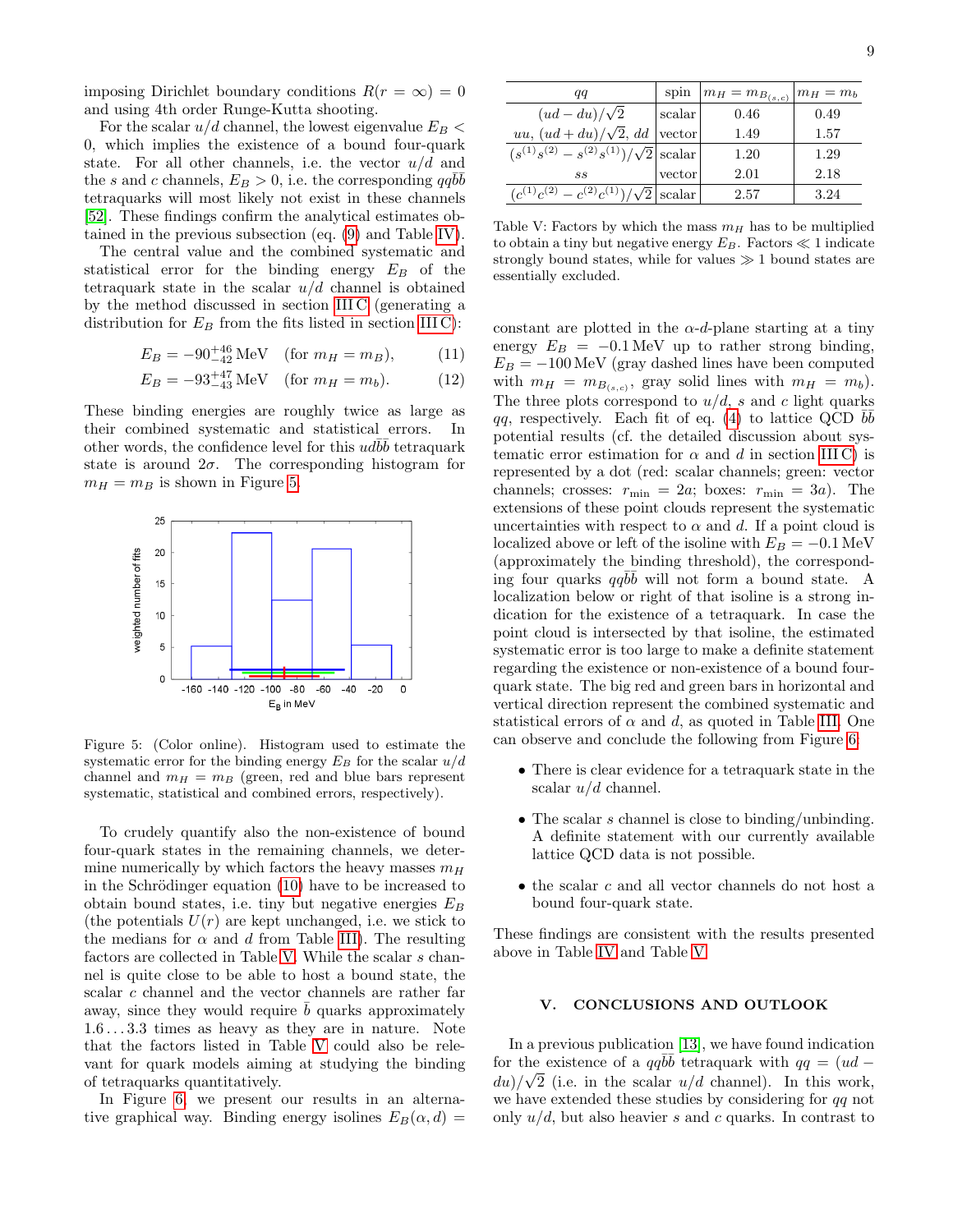imposing Dirichlet boundary conditions  $R(r = \infty) = 0$ and using 4th order Runge-Kutta shooting.

For the scalar  $u/d$  channel, the lowest eigenvalue  $E_B$  < 0, which implies the existence of a bound four-quark state. For all other channels, i.e. the vector  $u/d$  and the s and c channels,  $E_B > 0$ , i.e. the corresponding  $qq\bar{b}\bar{b}$ tetraquarks will most likely not exist in these channels [\[52\]](#page-11-13). These findings confirm the analytical estimates obtained in the previous subsection (eq. [\(9\)](#page-6-3) and Table [IV\)](#page-7-1).

The central value and the combined systematic and statistical error for the binding energy  $E_B$  of the tetraquark state in the scalar  $u/d$  channel is obtained by the method discussed in section [III C](#page-5-1) (generating a distribution for  $E_B$  from the fits listed in section [III C\)](#page-5-1):

$$
E_B = -90^{+46}_{-42} \text{ MeV} \quad \text{(for } m_H = m_B), \tag{11}
$$

$$
E_B = -93^{+47}_{-43} \text{ MeV} \quad \text{(for } m_H = m_b). \tag{12}
$$

These binding energies are roughly twice as large as their combined systematic and statistical errors. In other words, the confidence level for this  $ud\bar{b}\bar{b}$  tetraquark state is around  $2\sigma$ . The corresponding histogram for  $m_H = m_B$  is shown in Figure [5.](#page-8-1)



<span id="page-8-1"></span>Figure 5: (Color online). Histogram used to estimate the systematic error for the binding energy  $E_B$  for the scalar  $u/d$ channel and  $m_H = m_B$  (green, red and blue bars represent systematic, statistical and combined errors, respectively).

To crudely quantify also the non-existence of bound four-quark states in the remaining channels, we determine numerically by which factors the heavy masses  $m_H$ in the Schrödinger equation  $(10)$  have to be increased to obtain bound states, i.e. tiny but negative energies  $E_B$ (the potentials  $U(r)$  are kept unchanged, i.e. we stick to the medians for  $\alpha$  and d from Table [III\)](#page-6-2). The resulting factors are collected in Table [V.](#page-8-2) While the scalar s channel is quite close to be able to host a bound state, the scalar c channel and the vector channels are rather far away, since they would require  $\bar{b}$  quarks approximately 1.6 . . . 3.3 times as heavy as they are in nature. Note that the factors listed in Table [V](#page-8-2) could also be relevant for quark models aiming at studying the binding of tetraquarks quantitatively.

In Figure [6,](#page-9-0) we present our results in an alternative graphical way. Binding energy isolines  $E_B(\alpha, d) =$ 

| qq                                                  | spin   | $m_H = m_{B_{(s,c)}}$ | $ m_H=m_b$ |
|-----------------------------------------------------|--------|-----------------------|------------|
| $(ud - du)/\sqrt{2}$                                | scalar | 0.46                  | 0.49       |
| uu, $(ud+du)/\sqrt{2}$ , dd                         | vector | 1.49                  | 1.57       |
| $(s^{(1)}s^{(2)} - s^{(2)}s^{(1)})/\sqrt{2}$ scalar |        | 1.20                  | 1.29       |
| SS                                                  | vector | 2.01                  | 2.18       |
| $(c^{(1)}c^{(2)} - c^{(2)}c^{(1)})/\sqrt{2}$ scalar |        | 2.57                  | 3.24       |

<span id="page-8-2"></span>Table V: Factors by which the mass  $m_H$  has to be multiplied to obtain a tiny but negative energy  $E_B$ . Factors  $\ll 1$  indicate strongly bound states, while for values  $\gg$  1 bound states are essentially excluded.

constant are plotted in the  $\alpha$ -d-plane starting at a tiny energy  $E_B = -0.1 \,\text{MeV}$  up to rather strong binding,  $E_B = -100 \,\text{MeV}$  (gray dashed lines have been computed with  $m_H = m_{B_{(s,c)}}$ , gray solid lines with  $m_H = m_b$ ). The three plots correspond to  $u/d$ , s and c light quarks qq, respectively. Each fit of eq. [\(4\)](#page-3-2) to lattice QCD  $b\bar{b}$ potential results (cf. the detailed discussion about systematic error estimation for  $\alpha$  and d in section [III C\)](#page-5-1) is represented by a dot (red: scalar channels; green: vector channels; crosses:  $r_{\min} = 2a$ ; boxes:  $r_{\min} = 3a$ ). The extensions of these point clouds represent the systematic uncertainties with respect to  $\alpha$  and d. If a point cloud is localized above or left of the isoline with  $E_B = -0.1$  MeV (approximately the binding threshold), the corresponding four quarks  $qq\bar{b}\bar{b}$  will not form a bound state. A localization below or right of that isoline is a strong indication for the existence of a tetraquark. In case the point cloud is intersected by that isoline, the estimated systematic error is too large to make a definite statement regarding the existence or non-existence of a bound fourquark state. The big red and green bars in horizontal and vertical direction represent the combined systematic and statistical errors of  $\alpha$  and d, as quoted in Table [III.](#page-6-2) One can observe and conclude the following from Figure [6:](#page-9-0)

- There is clear evidence for a tetraquark state in the scalar  $u/d$  channel.
- The scalar s channel is close to binding/unbinding. A definite statement with our currently available lattice QCD data is not possible.
- the scalar c and all vector channels do not host a bound four-quark state.

These findings are consistent with the results presented above in Table [IV](#page-7-1) and Table [V.](#page-8-2)

#### <span id="page-8-0"></span>V. CONCLUSIONS AND OUTLOOK

In a previous publication [\[13\]](#page-10-9), we have found indication for the existence of a  $qq\bar{b}\bar{b}$  tetraquark with  $qq = (ud$  $du$ / $\sqrt{2}$  (i.e. in the scalar  $u/d$  channel). In this work, we have extended these studies by considering for qq not only  $u/d$ , but also heavier s and c quarks. In contrast to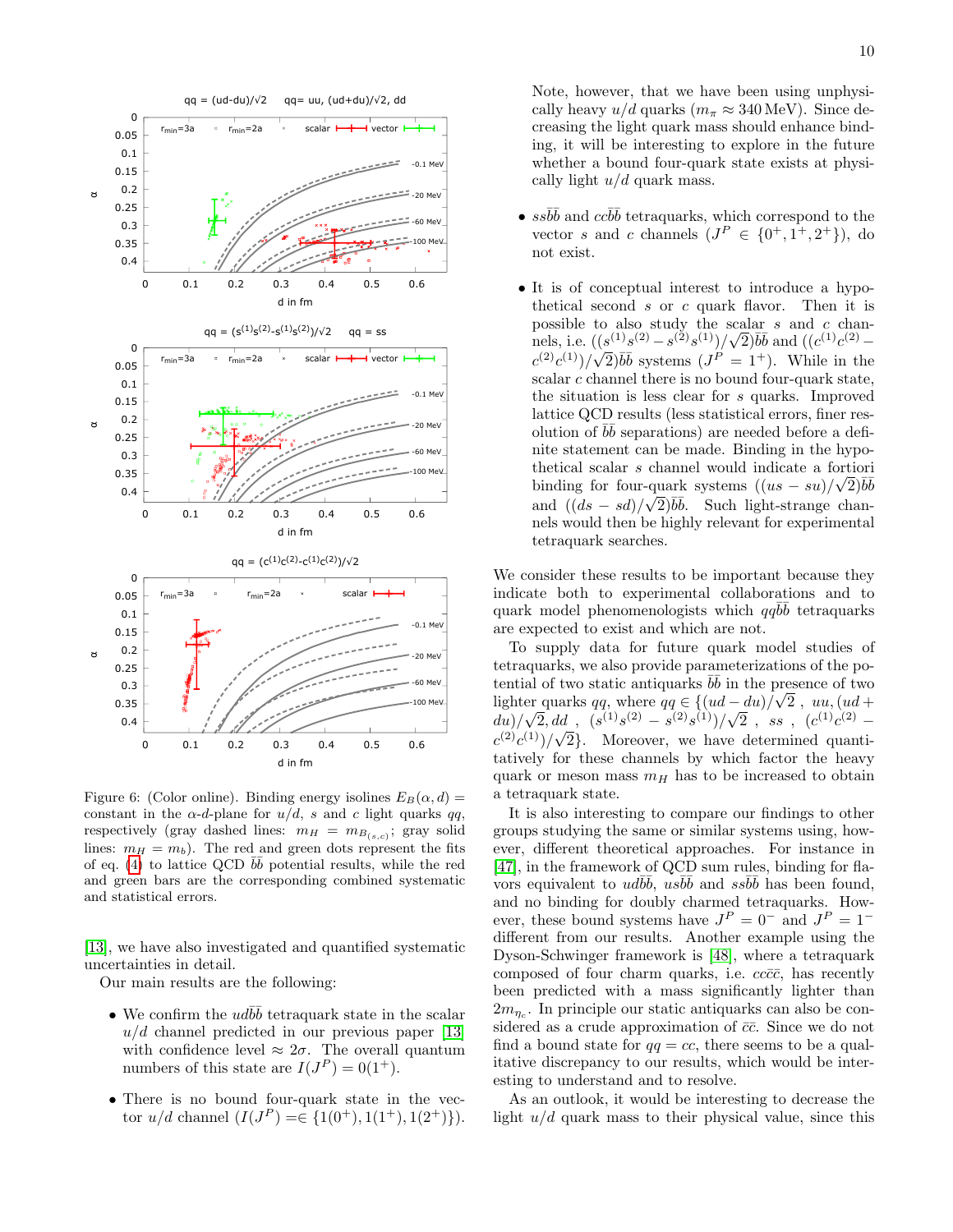

<span id="page-9-0"></span>Figure 6: (Color online). Binding energy isolines  $E_B(\alpha, d) =$ constant in the  $\alpha$ -d-plane for  $u/d$ , s and c light quarks qq, respectively (gray dashed lines:  $m_H = m_{B_{(s,c)}}$ ; gray solid lines:  $m_H = m_b$ ). The red and green dots represent the fits of eq. [\(4\)](#page-3-2) to lattice QCD  $b\bar{b}$  potential results, while the red and green bars are the corresponding combined systematic and statistical errors.

[\[13\]](#page-10-9), we have also investigated and quantified systematic uncertainties in detail.

Our main results are the following:

- We confirm the  $ud\bar{b}\bar{b}$  tetraquark state in the scalar  $u/d$  channel predicted in our previous paper [\[13\]](#page-10-9) with confidence level  $\approx 2\sigma$ . The overall quantum numbers of this state are  $I(J^P) = 0(1^+)$ .
- There is no bound four-quark state in the vector  $u/d$  channel  $(I(J<sup>P</sup>) = \in \{1(0^+), 1(1^+), 1(2^+)\}).$

Note, however, that we have been using unphysically heavy  $u/d$  quarks  $(m_\pi \approx 340 \,\text{MeV})$ . Since decreasing the light quark mass should enhance binding, it will be interesting to explore in the future whether a bound four-quark state exists at physically light  $u/d$  quark mass.

- $s s\overline{b}b$  and  $c c\overline{b}b$  tetraquarks, which correspond to the vector s and c channels  $(J^P \in \{0^+, 1^+, 2^+\})$ , do not exist.
- It is of conceptual interest to introduce a hypothetical second  $s$  or  $c$  quark flavor. Then it is possible to also study the scalar s and c chanpossible to also study the scalar *s* and *c* channels, i.e.  $((s^{(1)}s^{(2)} - s^{(2)}s^{(1)})/\sqrt{2})\overline{b}\overline{b}$  and  $((c^{(1)}c^{(2)} - s^{(2)})s^{(1)})/\sqrt{2}$  $c^{(2)}c^{(1)}/\sqrt{2}$   $\bar{b}\bar{b}$  systems  $(J^P = 1^+)$ . While in the scalar  $c$  channel there is no bound four-quark state, the situation is less clear for s quarks. Improved lattice QCD results (less statistical errors, finer resolution of  $b\bar{b}$  separations) are needed before a definite statement can be made. Binding in the hypothetical scalar s channel would indicate a fortiori binding for four-quark systems  $((us - su)/\sqrt{2})\overline{bb}$ and  $((ds - sd)/\sqrt{2})\overline{b}\overline{b}$ . Such light-strange channels would then be highly relevant for experimental tetraquark searches.

We consider these results to be important because they indicate both to experimental collaborations and to quark model phenomenologists which  $qq\bar{b}\bar{b}$  tetraquarks are expected to exist and which are not.

To supply data for future quark model studies of tetraquarks, we also provide parameterizations of the potential of two static antiquarks  $\overline{b}\overline{b}$  in the presence of two lighter quarks qq, where  $qq \in \{(ud - du)/\sqrt{2} , uu, (ud +$  $\frac{du}{\sqrt{2}}\left(\frac{1}{2}e^{(1)}\right)$  (s<sup>(1)</sup>s<sup>(2)</sup> – s<sup>(2)</sup>s<sup>(1)</sup>)/ $\sqrt{2}$ , ss, (c<sup>(1)</sup>c<sup>(2)</sup> –  $c^{(2)}c^{(1)}/\sqrt{2}$ . Moreover, we have determined quantitatively for these channels by which factor the heavy quark or meson mass  $m_H$  has to be increased to obtain a tetraquark state.

It is also interesting to compare our findings to other groups studying the same or similar systems using, however, different theoretical approaches. For instance in [\[47\]](#page-11-14), in the framework of QCD sum rules, binding for flavors equivalent to  $ud\overline{b}\overline{b}$ ,  $us\overline{b}\overline{b}$  and  $ss\overline{b}\overline{b}$  has been found, and no binding for doubly charmed tetraquarks. However, these bound systems have  $J^P = 0^-$  and  $J^P = 1^$ different from our results. Another example using the Dyson-Schwinger framework is [\[48\]](#page-11-15), where a tetraquark composed of four charm quarks, i.e.  $cc\bar{c}\bar{c}$ , has recently been predicted with a mass significantly lighter than  $2m_{\eta_c}$ . In principle our static antiquarks can also be considered as a crude approximation of  $\bar{c}\bar{c}$ . Since we do not find a bound state for  $qq = cc$ , there seems to be a qualitative discrepancy to our results, which would be interesting to understand and to resolve.

As an outlook, it would be interesting to decrease the light  $u/d$  quark mass to their physical value, since this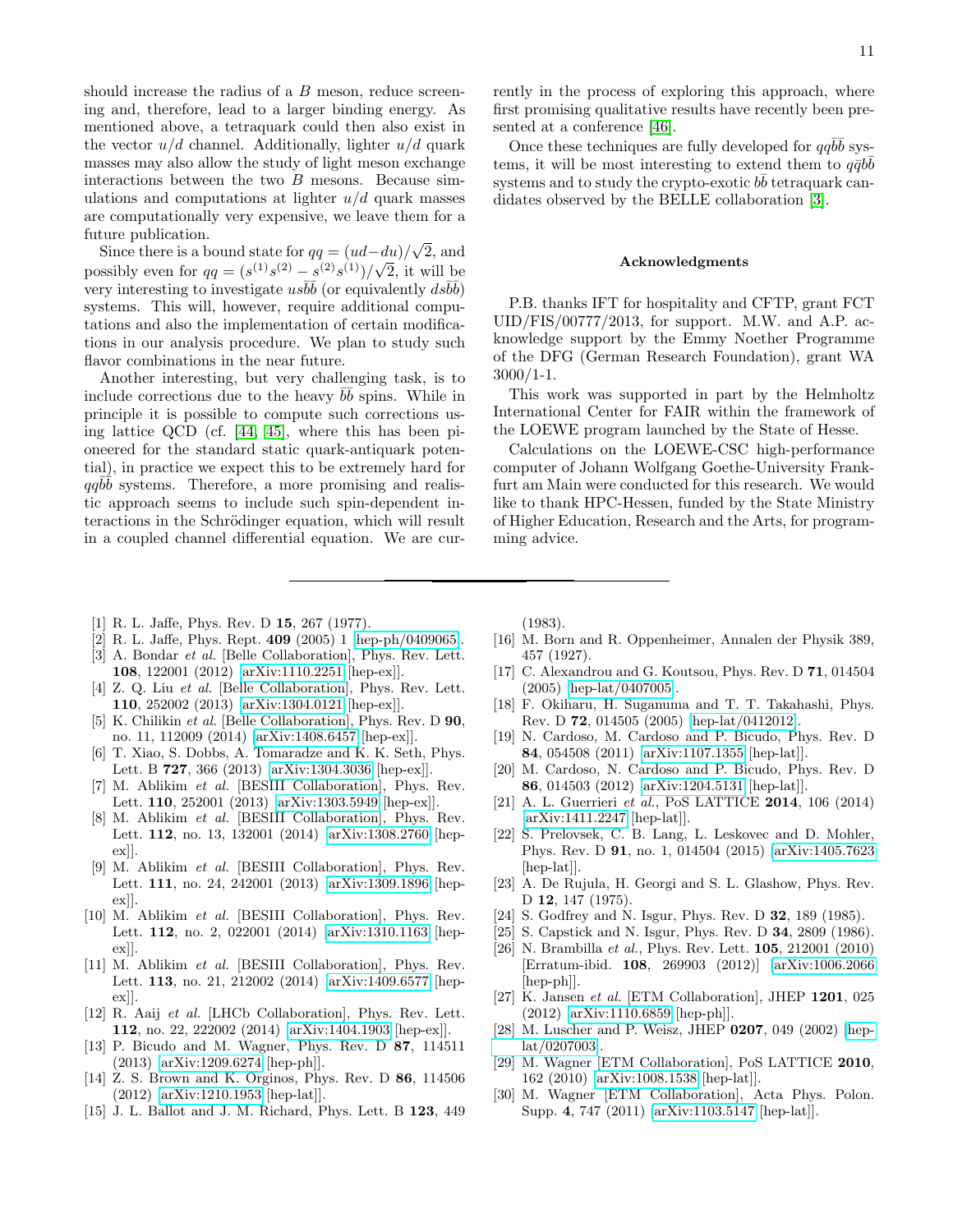should increase the radius of a  $B$  meson, reduce screening and, therefore, lead to a larger binding energy. As mentioned above, a tetraquark could then also exist in the vector  $u/d$  channel. Additionally, lighter  $u/d$  quark masses may also allow the study of light meson exchange interactions between the two  $B$  mesons. Because simulations and computations at lighter  $u/d$  quark masses are computationally very expensive, we leave them for a future publication. √

Since there is a bound state for  $qq = (ud - du)$  $\frac{1}{2}$  / $\sqrt{2}$ , and possibly even for  $qq = (s^{(1)}s^{(2)} - s^{(2)}s^{(1)})/\sqrt{2}$ , it will be very interesting to investigate  $u s \overline{b} \overline{b}$  (or equivalently  $ds \overline{b} \overline{b}$ ) systems. This will, however, require additional computations and also the implementation of certain modifications in our analysis procedure. We plan to study such flavor combinations in the near future.

Another interesting, but very challenging task, is to include corrections due to the heavy  $b\bar{b}$  spins. While in principle it is possible to compute such corrections using lattice QCD (cf. [\[44,](#page-11-16) [45\]](#page-11-17), where this has been pioneered for the standard static quark-antiquark potential), in practice we expect this to be extremely hard for  $qq\overline{b}\overline{b}$  systems. Therefore, a more promising and realistic approach seems to include such spin-dependent interactions in the Schrödinger equation, which will result in a coupled channel differential equation. We are currently in the process of exploring this approach, where first promising qualitative results have recently been presented at a conference [\[46\]](#page-11-18).

Once these techniques are fully developed for  $qq\bar{b}\bar{b}$  systems, it will be most interesting to extend them to  $q\bar{q}b\bar{b}$ systems and to study the crypto-exotic  $b\bar{b}$  tetraquark candidates observed by the BELLE collaboration [\[3\]](#page-10-2).

#### Acknowledgments

P.B. thanks IFT for hospitality and CFTP, grant FCT UID/FIS/00777/2013, for support. M.W. and A.P. acknowledge support by the Emmy Noether Programme of the DFG (German Research Foundation), grant WA 3000/1-1.

This work was supported in part by the Helmholtz International Center for FAIR within the framework of the LOEWE program launched by the State of Hesse.

Calculations on the LOEWE-CSC high-performance computer of Johann Wolfgang Goethe-University Frankfurt am Main were conducted for this research. We would like to thank HPC-Hessen, funded by the State Ministry of Higher Education, Research and the Arts, for programming advice.

- <span id="page-10-0"></span>[1] R. L. Jaffe, Phys. Rev. D 15, 267 (1977).
- <span id="page-10-1"></span>[2] R. L. Jaffe, Phys. Rept. 409 (2005) 1 [\[hep-ph/0409065\]](http://arxiv.org/abs/hep-ph/0409065).
- <span id="page-10-2"></span>[3] A. Bondar *et al.* [Belle Collaboration], Phys. Rev. Lett. 108, 122001 (2012) [\[arXiv:1110.2251](http://arxiv.org/abs/1110.2251) [hep-ex]].
- <span id="page-10-3"></span>[4] Z. Q. Liu *et al.* [Belle Collaboration], Phys. Rev. Lett. 110, 252002 (2013) [\[arXiv:1304.0121](http://arxiv.org/abs/1304.0121) [hep-ex]].
- <span id="page-10-4"></span>[5] K. Chilikin *et al.* [Belle Collaboration], Phys. Rev. D **90**, no. 11, 112009 (2014) [\[arXiv:1408.6457](http://arxiv.org/abs/1408.6457) [hep-ex]].
- <span id="page-10-5"></span>[6] T. Xiao, S. Dobbs, A. Tomaradze and K. K. Seth, Phys. Lett. B 727, 366 (2013) [\[arXiv:1304.3036](http://arxiv.org/abs/1304.3036) [hep-ex]].
- <span id="page-10-6"></span>[7] M. Ablikim et al. [BESIII Collaboration], Phys. Rev. Lett. 110, 252001 (2013) [\[arXiv:1303.5949](http://arxiv.org/abs/1303.5949) [hep-ex]].
- [8] M. Ablikim et al. [BESIII Collaboration], Phys. Rev. Lett. 112, no. 13, 132001 (2014) [\[arXiv:1308.2760](http://arxiv.org/abs/1308.2760) [hepex]].
- [9] M. Ablikim et al. [BESIII Collaboration], Phys. Rev. Lett. 111, no. 24, 242001 (2013) [\[arXiv:1309.1896](http://arxiv.org/abs/1309.1896) [hepex]].
- [10] M. Ablikim et al. [BESIII Collaboration], Phys. Rev. Lett. 112, no. 2, 022001 (2014) [\[arXiv:1310.1163](http://arxiv.org/abs/1310.1163) [hepex]].
- <span id="page-10-7"></span>[11] M. Ablikim et al. [BESIII Collaboration], Phys. Rev. Lett. 113, no. 21, 212002 (2014) [\[arXiv:1409.6577](http://arxiv.org/abs/1409.6577) [hepex]].
- <span id="page-10-8"></span>[12] R. Aaij et al. [LHCb Collaboration], Phys. Rev. Lett. 112, no. 22, 222002 (2014) [\[arXiv:1404.1903](http://arxiv.org/abs/1404.1903) [hep-ex]].
- <span id="page-10-9"></span>[13] P. Bicudo and M. Wagner, Phys. Rev. D 87, 114511 (2013) [\[arXiv:1209.6274](http://arxiv.org/abs/1209.6274) [hep-ph]].
- <span id="page-10-10"></span>[14] Z. S. Brown and K. Orginos, Phys. Rev. D 86, 114506 (2012) [\[arXiv:1210.1953](http://arxiv.org/abs/1210.1953) [hep-lat]].
- <span id="page-10-11"></span>[15] J. L. Ballot and J. M. Richard, Phys. Lett. B 123, 449

(1983).

- <span id="page-10-12"></span>[16] M. Born and R. Oppenheimer, Annalen der Physik 389, 457 (1927).
- <span id="page-10-13"></span>[17] C. Alexandrou and G. Koutsou, Phys. Rev. D 71, 014504 (2005) [\[hep-lat/0407005\]](http://arxiv.org/abs/hep-lat/0407005).
- <span id="page-10-14"></span>[18] F. Okiharu, H. Suganuma and T. T. Takahashi, Phys. Rev. D 72, 014505 (2005) [\[hep-lat/0412012\]](http://arxiv.org/abs/hep-lat/0412012).
- <span id="page-10-15"></span>[19] N. Cardoso, M. Cardoso and P. Bicudo, Phys. Rev. D 84, 054508 (2011) [\[arXiv:1107.1355](http://arxiv.org/abs/1107.1355) [hep-lat]].
- <span id="page-10-16"></span>[20] M. Cardoso, N. Cardoso and P. Bicudo, Phys. Rev. D 86, 014503 (2012) [\[arXiv:1204.5131](http://arxiv.org/abs/1204.5131) [hep-lat]].
- <span id="page-10-17"></span>[21] A. L. Guerrieri et al., PoS LATTICE 2014, 106 (2014) [\[arXiv:1411.2247](http://arxiv.org/abs/1411.2247) [hep-lat]].
- <span id="page-10-18"></span>[22] S. Prelovsek, C. B. Lang, L. Leskovec and D. Mohler, Phys. Rev. D 91, no. 1, 014504 (2015) [\[arXiv:1405.7623](http://arxiv.org/abs/1405.7623) [hep-lat]].
- <span id="page-10-19"></span>[23] A. De Rujula, H. Georgi and S. L. Glashow, Phys. Rev. D 12, 147 (1975).
- <span id="page-10-20"></span>[24] S. Godfrey and N. Isgur, Phys. Rev. D **32**, 189 (1985).
- <span id="page-10-21"></span>[25] S. Capstick and N. Isgur, Phys. Rev. D **34**, 2809 (1986).
- <span id="page-10-22"></span>[26] N. Brambilla et al., Phys. Rev. Lett. **105**, 212001 (2010) [Erratum-ibid. 108, 269903 (2012)] [\[arXiv:1006.2066](http://arxiv.org/abs/1006.2066) [hep-ph]].
- <span id="page-10-23"></span>[27] K. Jansen et al. [ETM Collaboration], JHEP 1201, 025 (2012) [\[arXiv:1110.6859](http://arxiv.org/abs/1110.6859) [hep-ph]].
- <span id="page-10-24"></span>[28] M. Luscher and P. Weisz, JHEP 0207, 049 (2002) [\[hep](http://arxiv.org/abs/hep-lat/0207003)[lat/0207003\]](http://arxiv.org/abs/hep-lat/0207003).
- <span id="page-10-25"></span>[29] M. Wagner [ETM Collaboration], PoS LATTICE 2010, 162 (2010) [\[arXiv:1008.1538](http://arxiv.org/abs/1008.1538) [hep-lat]].
- <span id="page-10-26"></span>[30] M. Wagner [ETM Collaboration], Acta Phys. Polon. Supp. 4, 747 (2011) [\[arXiv:1103.5147](http://arxiv.org/abs/1103.5147) [hep-lat]].